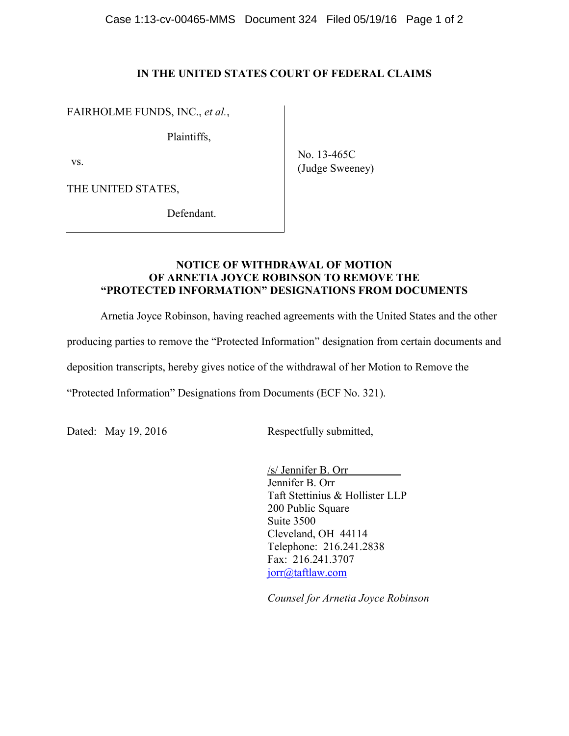## **IN THE UNITED STATES COURT OF FEDERAL CLAIMS**

FAIRHOLME FUNDS, INC., *et al.*,

Plaintiffs,

vs.

THE UNITED STATES,

Defendant.

No. 13-465C (Judge Sweeney)

## **NOTICE OF WITHDRAWAL OF MOTION OF ARNETIA JOYCE ROBINSON TO REMOVE THE "PROTECTED INFORMATION" DESIGNATIONS FROM DOCUMENTS**

Arnetia Joyce Robinson, having reached agreements with the United States and the other

producing parties to remove the "Protected Information" designation from certain documents and

deposition transcripts, hereby gives notice of the withdrawal of her Motion to Remove the

"Protected Information" Designations from Documents (ECF No. 321).

Dated: May 19, 2016 Respectfully submitted,

/s/ Jennifer B. Orr Jennifer B. Orr Taft Stettinius & Hollister LLP 200 Public Square Suite 3500 Cleveland, OH 44114 Telephone: 216.241.2838 Fax: 216.241.3707 [jorr@taftlaw.com](mailto:jorr@taftlaw.com)

*Counsel for Arnetia Joyce Robinson*